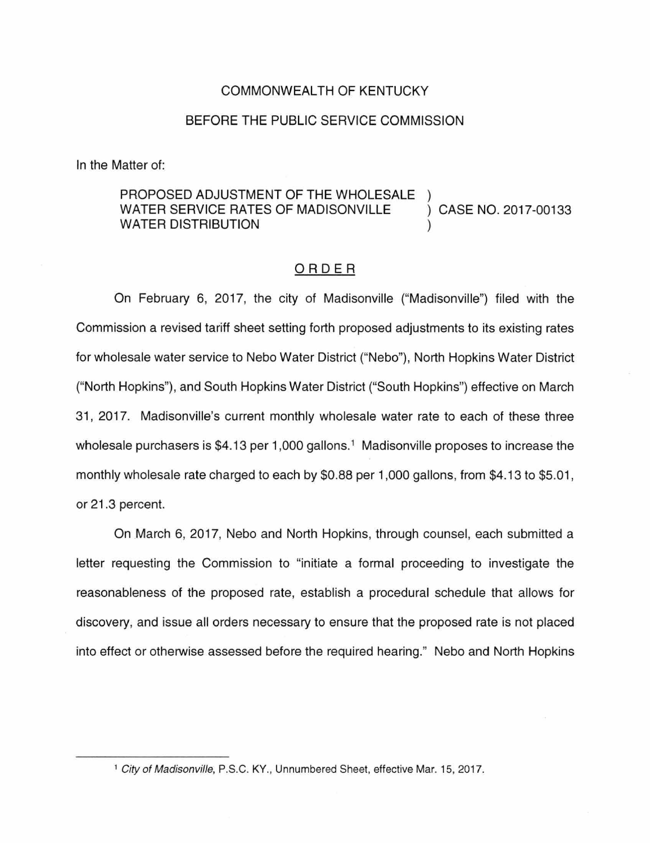## COMMONWEALTH OF KENTUCKY

## BEFORE THE PUBLIC SERVICE COMMISSION

In the Matter of:

## PROPOSED ADJUSTMENT OF THE WHOLESALE WATER SERVICE RATES OF MADISONVILLE ) CASE NO. 2017-00133 WATER DISTRIBUTION

## ORDER

On February 6, 2017, the city of Madisonville ("Madisonville") filed with the Commission a revised tariff sheet setting forth proposed adjustments to its existing rates for wholesale water service to Nebo Water District ("Nebo"), North Hopkins Water District ("North Hopkins"), and South Hopkins Water District ("South Hopkins") effective on March 31, 2017. Madisonville's current monthly wholesale water rate to each of these three wholesale purchasers is \$4.13 per 1,000 gallons.<sup>1</sup> Madisonville proposes to increase the monthly wholesale rate charged to each by \$0.88 per 1 ,000 gallons, from \$4.13 to \$5.01, or 21.3 percent.

On March 6, 2017, Nebo and North Hopkins, through counsel, each submitted a letter requesting the Commission to "initiate a formal proceeding to investigate the reasonableness of the proposed rate, establish a procedural schedule that allows for discovery, and issue all orders necessary to ensure that the proposed rate is not placed into effect or otherwise assessed before the required hearing." Nebo and North Hopkins

<sup>&</sup>lt;sup>1</sup> City of Madisonville, P.S.C. KY., Unnumbered Sheet, effective Mar. 15, 2017.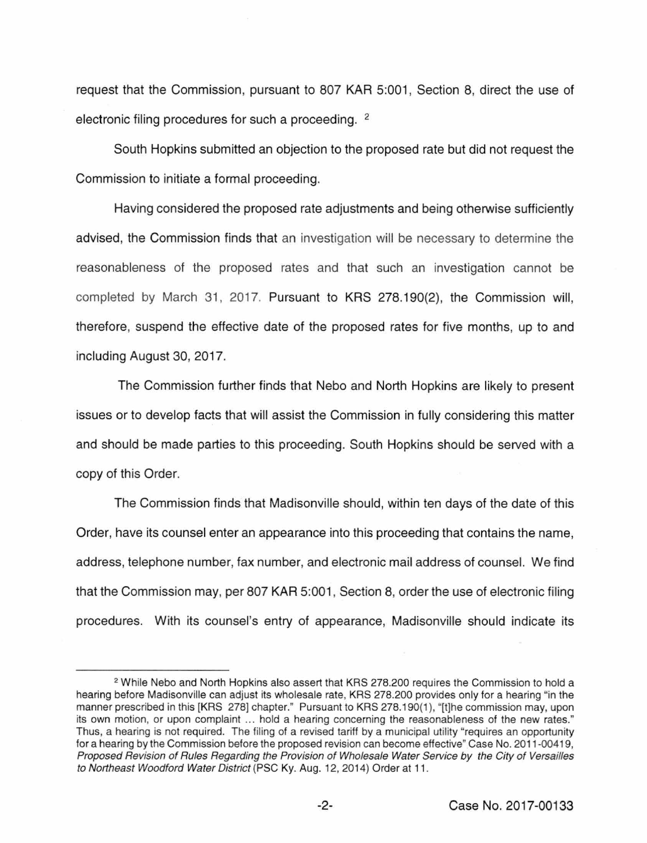request that the Commission, pursuant to 807 KAR 5:001, Section 8, direct the use of electronic filing procedures for such a proceeding. <sup>2</sup>

South Hopkins submitted an objection to the proposed rate but did not request the Commission to initiate a formal proceeding.

Having considered the proposed rate adjustments and being otherwise sufficiently advised, the Commission finds that an investigation will be necessary to determine the reasonableness of the proposed rates and that such an investigation cannot be completed by March 31, 2017. Pursuant to KRS 278.190(2), the Commission will, therefore, suspend the effective date of the proposed rates for five months, up to and including August 30, 2017.

The Commission further finds that Nebo and North Hopkins are likely to present issues or to develop facts that will assist the Commission in fully considering this matter and should be made parties to this proceeding. South Hopkins should be served with a copy of this Order.

The Commission finds that Madisonville should, within ten days of the date of this Order, have its counsel enter an appearance into this proceeding that contains the name, address, telephone number, fax number, and electronic mail address of counsel. We find that the Commission may, per 807 KAR 5:001 , Section 8, order the use of electronic filing procedures. With its counsel's entry of appearance, Madisonville should indicate its

<sup>2</sup>While Nebo and North Hopkins also assert that KRS 278.200 requires the Commission to hold a hearing before Madisonville can adjust its wholesale rate, KRS 278.200 provides only for a hearing "in the manner prescribed in this [KRS 278] chapter." Pursuant to KRS 278.190{1 ), "[t]he commission may, upon its own motion, or upon complaint ... hold a hearing concerning the reasonableness of the new rates." Thus, a hearing is not required. The filing of a revised tariff by a municipal utility "requires an opportunity for a hearing by the Commission before the proposed revision can become effective" Case No. 2011-00419, Proposed Revision of Rules Regarding the Provision of Wholesale Water Service *by* the City of Versailles to Northeast Woodford Water District (PSC Ky. Aug. 12, 2014) Order at 11 .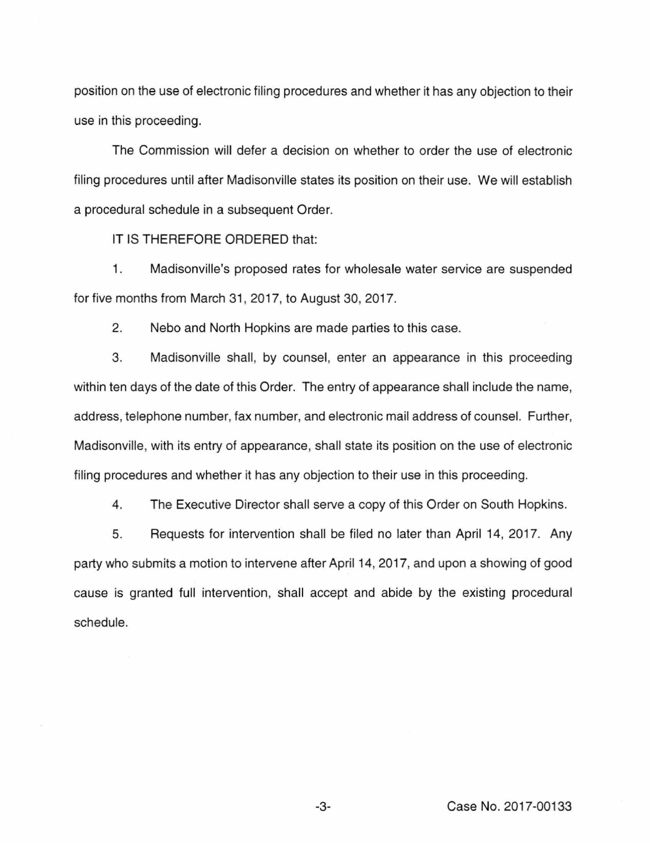position on the use of electronic filing procedures and whether it has any objection to their use in this proceeding.

The Commission will defer a decision on whether to order the use of electronic filing procedures until after Madisonville states its position on their use. We will establish a procedural schedule in a subsequent Order.

IT IS THEREFORE ORDERED that:

1. Madisonville's proposed rates for wholesale water service are suspended for five months from March 31, 2017, to August 30, 2017.

2. Nebo and North Hopkins are made parties to this case.

3. Madisonville shall, by counsel, enter an appearance in this proceeding within ten days of the date of this Order. The entry of appearance shall include the name, address, telephone number, fax number, and electronic mail address of counsel. Further, Madisonville, with its entry of appearance, shall state its position on the use of electronic filing procedures and whether it has any objection to their use in this proceeding.

4. The Executive Director shall serve a copy of this Order on South Hopkins.

5. Requests for intervention shall be filed no later than April 14, 2017. Any party who submits a motion to intervene after April 14, 2017, and upon a showing of good cause is granted full intervention, shall accept and abide by the existing procedural schedule.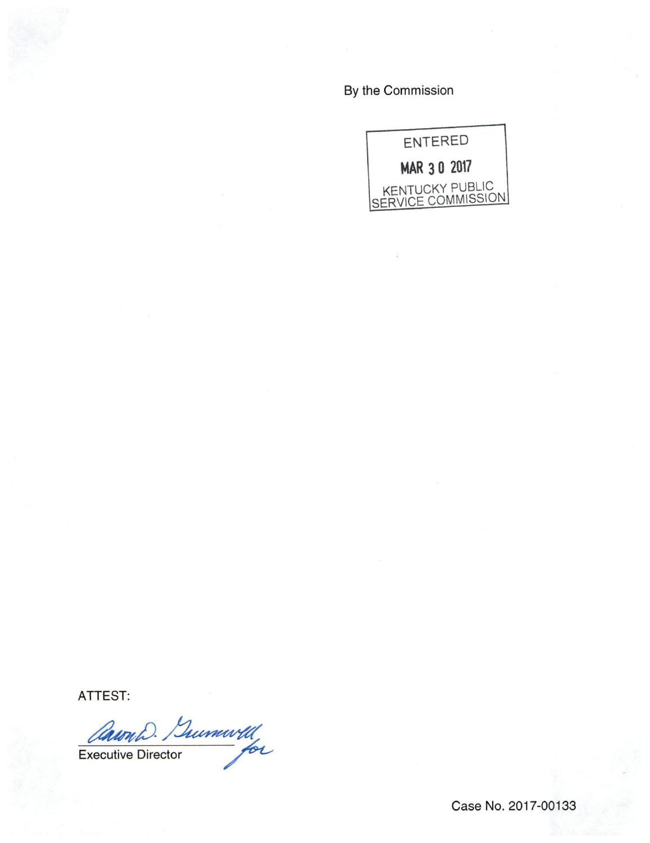By the Commission



ATTEST:

Caron D. Summarth

Case No. 2017-00133